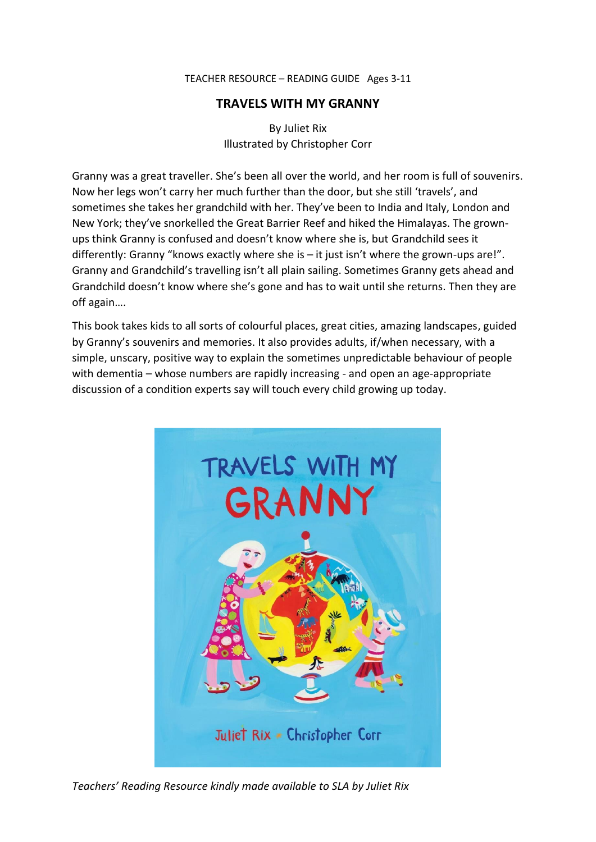#### TEACHER RESOURCE – READING GUIDE Ages 3-11

# **TRAVELS WITH MY GRANNY**

By Juliet Rix Illustrated by Christopher Corr

Granny was a great traveller. She's been all over the world, and her room is full of souvenirs. Now her legs won't carry her much further than the door, but she still 'travels', and sometimes she takes her grandchild with her. They've been to India and Italy, London and New York; they've snorkelled the Great Barrier Reef and hiked the Himalayas. The grownups think Granny is confused and doesn't know where she is, but Grandchild sees it differently: Granny "knows exactly where she is – it just isn't where the grown-ups are!". Granny and Grandchild's travelling isn't all plain sailing. Sometimes Granny gets ahead and Grandchild doesn't know where she's gone and has to wait until she returns. Then they are off again….

This book takes kids to all sorts of colourful places, great cities, amazing landscapes, guided by Granny's souvenirs and memories. It also provides adults, if/when necessary, with a simple, unscary, positive way to explain the sometimes unpredictable behaviour of people with dementia – whose numbers are rapidly increasing - and open an age-appropriate discussion of a condition experts say will touch every child growing up today.



*Teachers' Reading Resource kindly made available to SLA by Juliet Rix*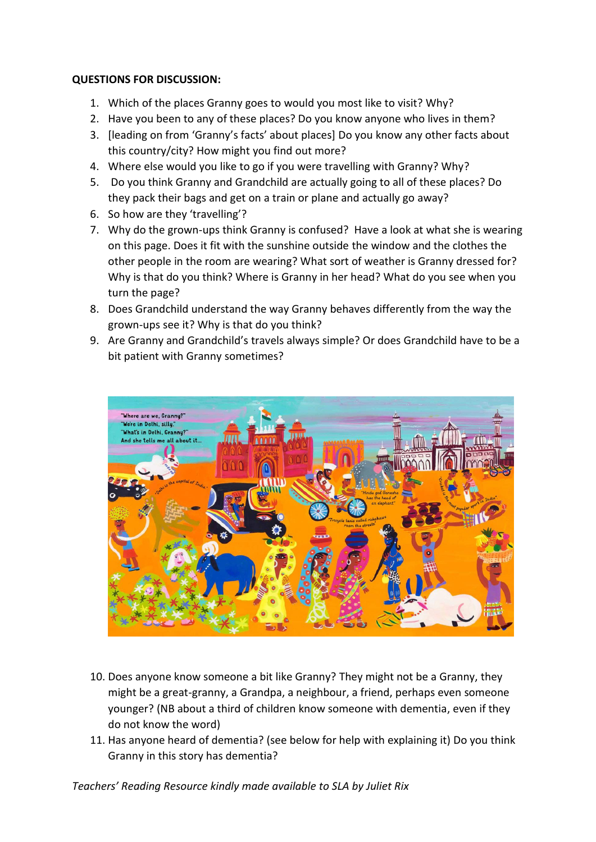## **QUESTIONS FOR DISCUSSION:**

- 1. Which of the places Granny goes to would you most like to visit? Why?
- 2. Have you been to any of these places? Do you know anyone who lives in them?
- 3. [leading on from 'Granny's facts' about places] Do you know any other facts about this country/city? How might you find out more?
- 4. Where else would you like to go if you were travelling with Granny? Why?
- 5. Do you think Granny and Grandchild are actually going to all of these places? Do they pack their bags and get on a train or plane and actually go away?
- 6. So how are they 'travelling'?
- 7. Why do the grown-ups think Granny is confused? Have a look at what she is wearing on this page. Does it fit with the sunshine outside the window and the clothes the other people in the room are wearing? What sort of weather is Granny dressed for? Why is that do you think? Where is Granny in her head? What do you see when you turn the page?
- 8. Does Grandchild understand the way Granny behaves differently from the way the grown-ups see it? Why is that do you think?
- 9. Are Granny and Grandchild's travels always simple? Or does Grandchild have to be a bit patient with Granny sometimes?



- 10. Does anyone know someone a bit like Granny? They might not be a Granny, they might be a great-granny, a Grandpa, a neighbour, a friend, perhaps even someone younger? (NB about a third of children know someone with dementia, even if they do not know the word)
- 11. Has anyone heard of dementia? (see below for help with explaining it) Do you think Granny in this story has dementia?

*Teachers' Reading Resource kindly made available to SLA by Juliet Rix*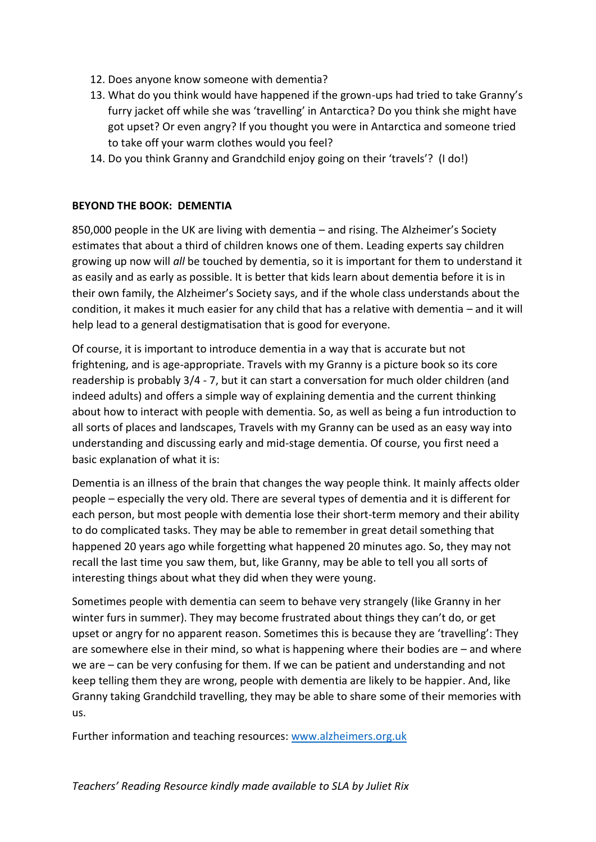- 12. Does anyone know someone with dementia?
- 13. What do you think would have happened if the grown-ups had tried to take Granny's furry jacket off while she was 'travelling' in Antarctica? Do you think she might have got upset? Or even angry? If you thought you were in Antarctica and someone tried to take off your warm clothes would you feel?
- 14. Do you think Granny and Grandchild enjoy going on their 'travels'? (I do!)

### **BEYOND THE BOOK: DEMENTIA**

850,000 people in the UK are living with dementia – and rising. The Alzheimer's Society estimates that about a third of children knows one of them. Leading experts say children growing up now will *all* be touched by dementia, so it is important for them to understand it as easily and as early as possible. It is better that kids learn about dementia before it is in their own family, the Alzheimer's Society says, and if the whole class understands about the condition, it makes it much easier for any child that has a relative with dementia – and it will help lead to a general destigmatisation that is good for everyone.

Of course, it is important to introduce dementia in a way that is accurate but not frightening, and is age-appropriate. Travels with my Granny is a picture book so its core readership is probably 3/4 - 7, but it can start a conversation for much older children (and indeed adults) and offers a simple way of explaining dementia and the current thinking about how to interact with people with dementia. So, as well as being a fun introduction to all sorts of places and landscapes, Travels with my Granny can be used as an easy way into understanding and discussing early and mid-stage dementia. Of course, you first need a basic explanation of what it is:

Dementia is an illness of the brain that changes the way people think. It mainly affects older people – especially the very old. There are several types of dementia and it is different for each person, but most people with dementia lose their short-term memory and their ability to do complicated tasks. They may be able to remember in great detail something that happened 20 years ago while forgetting what happened 20 minutes ago. So, they may not recall the last time you saw them, but, like Granny, may be able to tell you all sorts of interesting things about what they did when they were young.

Sometimes people with dementia can seem to behave very strangely (like Granny in her winter furs in summer). They may become frustrated about things they can't do, or get upset or angry for no apparent reason. Sometimes this is because they are 'travelling': They are somewhere else in their mind, so what is happening where their bodies are – and where we are – can be very confusing for them. If we can be patient and understanding and not keep telling them they are wrong, people with dementia are likely to be happier. And, like Granny taking Grandchild travelling, they may be able to share some of their memories with us.

Further information and teaching resources: [www.alzheimers.org.uk](http://www.alzheimers.org.uk/)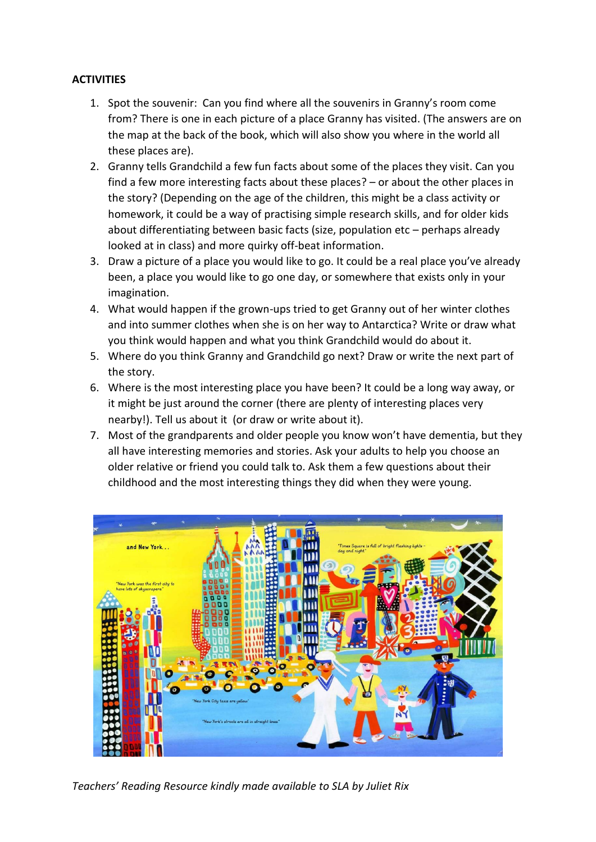# **ACTIVITIES**

- 1. Spot the souvenir: Can you find where all the souvenirs in Granny's room come from? There is one in each picture of a place Granny has visited. (The answers are on the map at the back of the book, which will also show you where in the world all these places are).
- 2. Granny tells Grandchild a few fun facts about some of the places they visit. Can you find a few more interesting facts about these places? – or about the other places in the story? (Depending on the age of the children, this might be a class activity or homework, it could be a way of practising simple research skills, and for older kids about differentiating between basic facts (size, population etc – perhaps already looked at in class) and more quirky off-beat information.
- 3. Draw a picture of a place you would like to go. It could be a real place you've already been, a place you would like to go one day, or somewhere that exists only in your imagination.
- 4. What would happen if the grown-ups tried to get Granny out of her winter clothes and into summer clothes when she is on her way to Antarctica? Write or draw what you think would happen and what you think Grandchild would do about it.
- 5. Where do you think Granny and Grandchild go next? Draw or write the next part of the story.
- 6. Where is the most interesting place you have been? It could be a long way away, or it might be just around the corner (there are plenty of interesting places very nearby!). Tell us about it (or draw or write about it).
- 7. Most of the grandparents and older people you know won't have dementia, but they all have interesting memories and stories. Ask your adults to help you choose an older relative or friend you could talk to. Ask them a few questions about their childhood and the most interesting things they did when they were young.



*Teachers' Reading Resource kindly made available to SLA by Juliet Rix*